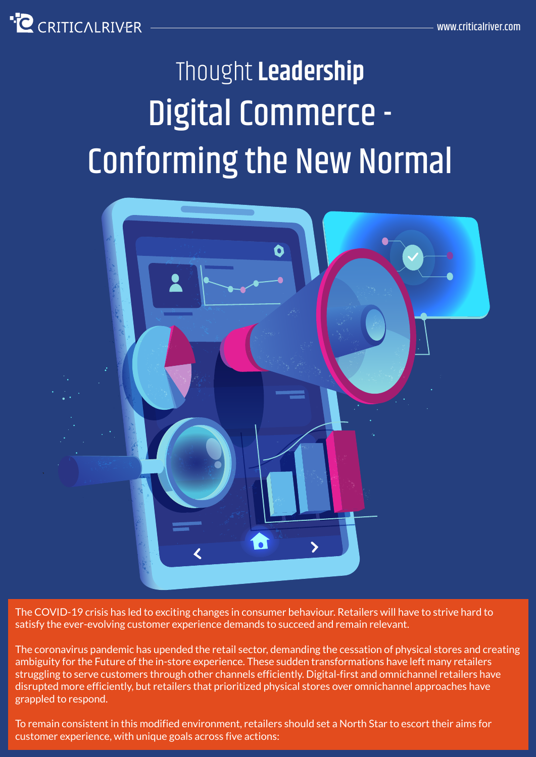

# Digital Commerce - Conforming the New Normal Thought **Leadership**



The COVID-19 crisis has led to exciting changes in consumer behaviour. Retailers will have to strive hard to satisfy the ever-evolving customer experience demands to succeed and remain relevant.

The coronavirus pandemic has upended the retail sector, demanding the cessation of physical stores and creating ambiguity for the Future of the in-store experience. These sudden transformations have left many retailers struggling to serve customers through other channels efficiently. Digital-first and omnichannel retailers have disrupted more efficiently, but retailers that prioritized physical stores over omnichannel approaches have grappled to respond.

To remain consistent in this modified environment, retailers should set a North Star to escort their aims for customer experience, with unique goals across five actions: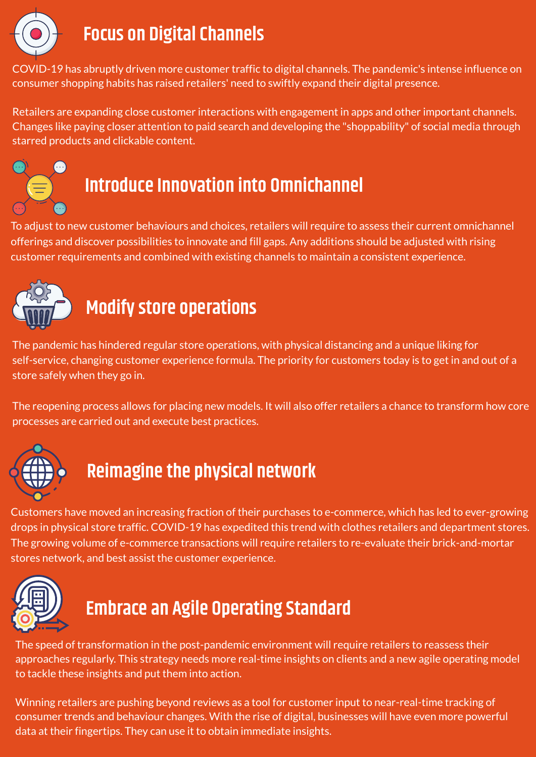

#### **Focus on Digital Channels**

COVID-19 has abruptly driven more customer traffic to digital channels. The pandemic's intense influence on consumer shopping habits has raised retailers' need to swiftly expand their digital presence.

Retailers are expanding close customer interactions with engagement in apps and other important channels. Changes like paying closer attention to paid search and developing the "shoppability" of social media through starred products and clickable content.



# **Introduce Innovation into Omnichannel**

To adjust to new customer behaviours and choices, retailers will require to assess their current omnichannel offerings and discover possibilities to innovate and fill gaps. Any additions should be adjusted with rising customer requirements and combined with existing channels to maintain a consistent experience.



## **Modify store operations**

The pandemic has hindered regular store operations, with physical distancing and a unique liking for self-service, changing customer experience formula. The priority for customers today is to get in and out of a store safely when they go in.

The reopening process allows for placing new models. It will also offer retailers a chance to transform how core processes are carried out and execute best practices.



### **Reimagine the physical network**

Customers have moved an increasing fraction of their purchases to e-commerce, which has led to ever-growing drops in physical store traffic. COVID-19 has expedited this trend with clothes retailers and department stores. The growing volume of e-commerce transactions will require retailers to re-evaluate their brick-and-mortar stores network, and best assist the customer experience.



### **Embrace an Agile Operating Standard**

The speed of transformation in the post-pandemic environment will require retailers to reassess their approaches regularly. This strategy needs more real-time insights on clients and a new agile operating model to tackle these insights and put them into action.

Winning retailers are pushing beyond reviews as a tool for customer input to near-real-time tracking of consumer trends and behaviour changes. With the rise of digital, businesses will have even more powerful data at their fingertips. They can use it to obtain immediate insights.